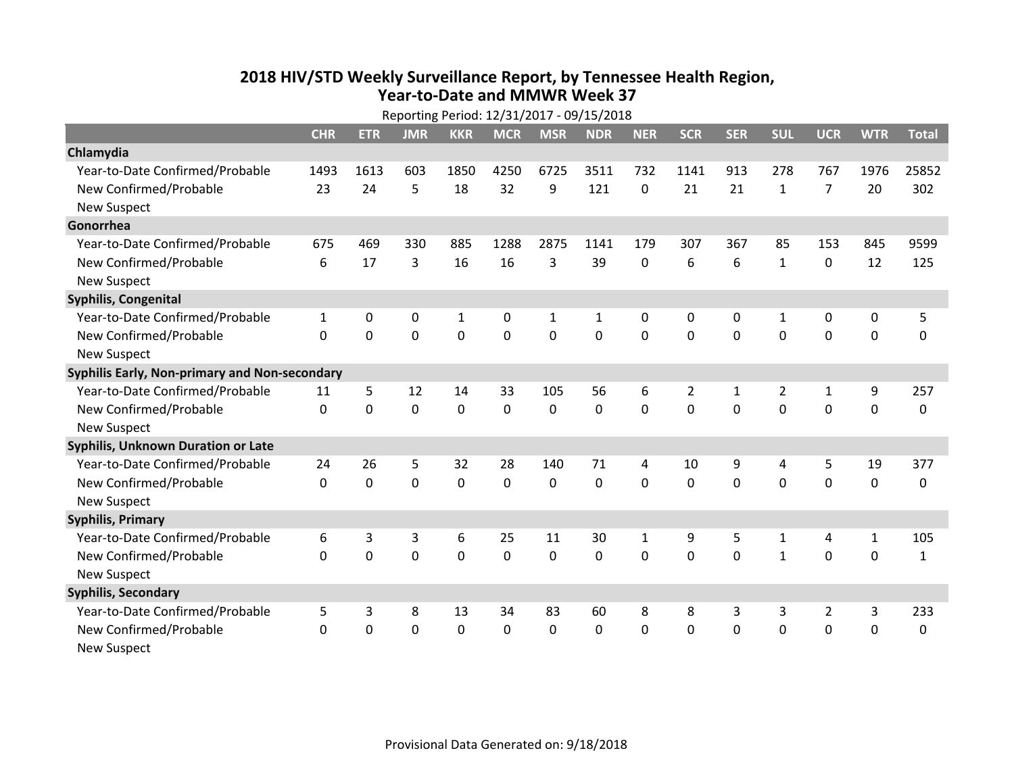## **2018 HIV /STD Weekl y Surveillance Report, b y Tennessee Health Region, Year‐to‐Date and MMWR Week 37**

| Reporting Period: 12/31/2017 - 09/15/2018     |              |             |             |             |                |                |                |              |                |                |                |                |              |              |
|-----------------------------------------------|--------------|-------------|-------------|-------------|----------------|----------------|----------------|--------------|----------------|----------------|----------------|----------------|--------------|--------------|
|                                               | <b>CHR</b>   | <b>ETR</b>  | <b>JMR</b>  | <b>KKR</b>  | <b>MCR</b>     | <b>MSR</b>     | <b>NDR</b>     | <b>NER</b>   | <b>SCR</b>     | <b>SER</b>     | <b>SUL</b>     | <b>UCR</b>     | <b>WTR</b>   | <b>Total</b> |
| Chlamydia                                     |              |             |             |             |                |                |                |              |                |                |                |                |              |              |
| Year-to-Date Confirmed/Probable               | 1493         | 1613        | 603         | 1850        | 4250           | 6725           | 3511           | 732          | 1141           | 913            | 278            | 767            | 1976         | 25852        |
| New Confirmed/Probable                        | 23           | 24          | 5           | 18          | 32             | 9              | 121            | 0            | 21             | 21             | $\mathbf{1}$   | $\overline{7}$ | 20           | 302          |
| <b>New Suspect</b>                            |              |             |             |             |                |                |                |              |                |                |                |                |              |              |
| Gonorrhea                                     |              |             |             |             |                |                |                |              |                |                |                |                |              |              |
| Year-to-Date Confirmed/Probable               | 675          | 469         | 330         | 885         | 1288           | 2875           | 1141           | 179          | 307            | 367            | 85             | 153            | 845          | 9599         |
| New Confirmed/Probable                        | 6            | 17          | 3           | 16          | 16             | 3              | 39             | 0            | 6              | 6              | $\mathbf{1}$   | $\mathbf 0$    | 12           | 125          |
| <b>New Suspect</b>                            |              |             |             |             |                |                |                |              |                |                |                |                |              |              |
| Syphilis, Congenital                          |              |             |             |             |                |                |                |              |                |                |                |                |              |              |
| Year-to-Date Confirmed/Probable               | $\mathbf{1}$ | 0           | 0           | 1           | 0              | $\mathbf{1}$   | $\mathbf{1}$   | 0            | 0              | 0              | 1              | 0              | 0            | 5            |
| New Confirmed/Probable                        | $\Omega$     | $\Omega$    | $\mathbf 0$ | $\mathbf 0$ | $\overline{0}$ | $\overline{0}$ | $\overline{0}$ | 0            | $\overline{0}$ | $\mathbf 0$    | $\mathbf{0}$   | $\mathbf 0$    | $\mathbf 0$  | $\mathbf 0$  |
| <b>New Suspect</b>                            |              |             |             |             |                |                |                |              |                |                |                |                |              |              |
| Syphilis Early, Non-primary and Non-secondary |              |             |             |             |                |                |                |              |                |                |                |                |              |              |
| Year-to-Date Confirmed/Probable               | 11           | 5           | 12          | 14          | 33             | 105            | 56             | 6            | $\overline{2}$ | $\mathbf{1}$   | $\overline{2}$ | 1              | 9            | 257          |
| New Confirmed/Probable                        | $\Omega$     | $\mathbf 0$ | $\mathbf 0$ | 0           | $\mathbf 0$    | $\mathbf 0$    | $\mathbf{0}$   | 0            | $\Omega$       | $\overline{0}$ | $\Omega$       | $\mathbf 0$    | $\mathbf 0$  | 0            |
| <b>New Suspect</b>                            |              |             |             |             |                |                |                |              |                |                |                |                |              |              |
| <b>Syphilis, Unknown Duration or Late</b>     |              |             |             |             |                |                |                |              |                |                |                |                |              |              |
| Year-to-Date Confirmed/Probable               | 24           | 26          | 5           | 32          | 28             | 140            | 71             | 4            | 10             | 9              | 4              | 5              | 19           | 377          |
| New Confirmed/Probable                        | $\Omega$     | $\mathbf 0$ | $\mathbf 0$ | $\mathbf 0$ | $\mathbf 0$    | $\mathbf{0}$   | $\mathbf 0$    | $\Omega$     | $\Omega$       | $\Omega$       | $\Omega$       | $\Omega$       | $\mathbf 0$  | $\Omega$     |
| <b>New Suspect</b>                            |              |             |             |             |                |                |                |              |                |                |                |                |              |              |
| <b>Syphilis, Primary</b>                      |              |             |             |             |                |                |                |              |                |                |                |                |              |              |
| Year-to-Date Confirmed/Probable               | 6            | 3           | 3           | 6           | 25             | 11             | 30             | $\mathbf{1}$ | 9              | 5              | $\mathbf{1}$   | 4              | $\mathbf{1}$ | 105          |
| New Confirmed/Probable                        | $\Omega$     | $\mathbf 0$ | $\mathbf 0$ | $\mathbf 0$ | $\mathbf 0$    | 0              | $\mathbf 0$    | 0            | $\mathbf 0$    | $\mathbf 0$    | $\mathbf{1}$   | $\mathbf 0$    | 0            | 1            |
| <b>New Suspect</b>                            |              |             |             |             |                |                |                |              |                |                |                |                |              |              |
| <b>Syphilis, Secondary</b>                    |              |             |             |             |                |                |                |              |                |                |                |                |              |              |
| Year-to-Date Confirmed/Probable               | 5            | 3           | 8           | 13          | 34             | 83             | 60             | 8            | 8              | 3              | 3              | $\overline{2}$ | 3            | 233          |
| New Confirmed/Probable                        | $\Omega$     | 0           | $\mathbf 0$ | 0           | $\mathbf 0$    | 0              | $\mathbf 0$    | 0            | 0              | $\mathbf 0$    | 0              | $\mathbf 0$    | $\mathbf 0$  | 0            |
| <b>New Suspect</b>                            |              |             |             |             |                |                |                |              |                |                |                |                |              |              |